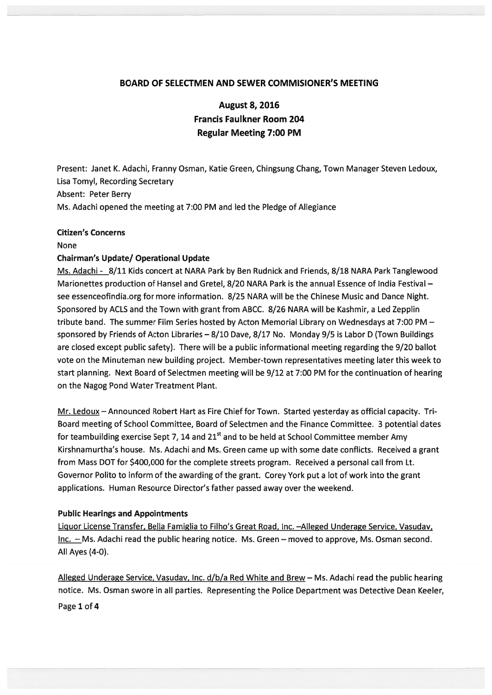# BOARD OF SELECTMEN AND SEWER COMMISIONER'S MEETING

August 8, 2016 Francis Faulkner Room 204 Regular Meeting 7:00 PM

Present: Janet K. Adachi, Franny Osman, Katie Green, Chingsung Chang, Town Manager Steven Ledoux, Lisa Tomyl, Recording Secretary Absent: Peter Berry Ms. Adachi opened the meeting at 7:00 PM and led the Pledge of Allegiance

### Citizen's Concerns

None

### Chairman's Update/ Operational Update

Ms. Adachi - 8/11 Kids concert at NARA Park by Ben Rudnick and Friends, 8/18 NARA Park Tanglewood Marionettes production of Hansel and Gretel, 8/20 NARA Park is the annual Essence of India Festival see essenceofindia.org for more information. 8/25 NARA will be the Chinese Music and Dance Night. Sponsored by ACLS and the Town with gran<sup>t</sup> from ABCC. 8/26 NARA will be Kashmir, <sup>a</sup> Led Zepplin tribute band. The summer Film Series hosted by Acton Memorial Library on Wednesdays at 7:00 PM sponsored by Friends of Acton Libraries - 8/10 Dave, 8/17 No. Monday 9/5 is Labor D (Town Buildings are closed excep<sup>t</sup> public safety). There will be <sup>a</sup> public informational meeting regarding the 9/20 ballot vote on the Minuteman new building project. Member-town representatives meeting later this week to start planning. Next Board of Selectmen meeting will be 9/12 at 7:00 PM for the continuation of hearing on the Nagog Pond Water Treatment Plant.

Mr. Ledoux – Announced Robert Hart as Fire Chief for Town. Started yesterday as official capacity. Tri-Board meeting of School Committee, Board of Selectmen and the Finance Committee. 3 potential dates for teambuilding exercise Sept 7, 14 and  $21<sup>st</sup>$  and to be held at School Committee member Amy Kirshnamurtha's house. Ms. Adachi and Ms. Green came up with some date conflicts. Received <sup>a</sup> gran<sup>t</sup> from Mass DOT for \$400,000 for the complete streets program. Received <sup>a</sup> personal call from Lt. Governor Polito to inform of the awarding of the grant. Corey York pu<sup>t</sup> <sup>a</sup> lot of work into the gran<sup>t</sup> applications. Human Resource Director's father passed away over the weekend.

### Public Hearings and Appointments

Liquor License Transfer, Bella Famiglia to Filho's Great Road, Inc. - Alleged Underage Service, Vasudav, Inc. — Ms. Adachi read the public hearing notice. Ms. Green — moved to approve, Ms. Osman second. All Ayes (4-0).

Alleged Underage Service, Vasudav, Inc. d/b/a Red White and Brew — Ms. Adachi read the public hearing notice. Ms. Osman swore in all parties. Representing the Police Department was Detective Dean Keeler, Page 1 of 4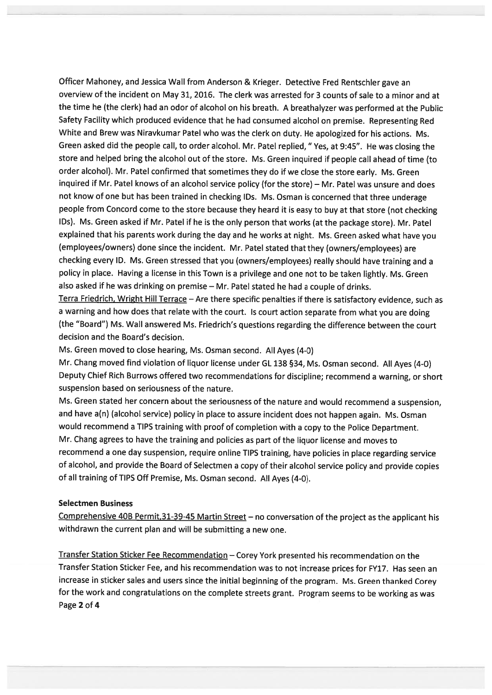Officer Mahoney, and Jessica Wall from Anderson & Krieger. Detective Fred Rentschler gave an overview of the incident on May 31, 2016. The clerk was arrested for 3 counts of sale to <sup>a</sup> minor and at the time he (the clerk) had an odor of alcohol on his breath. <sup>A</sup> breathalyzer was performed at the Public Safety Facility which produced evidence that he had consumed alcohol on premise. Representing Red White and Brew was Niravkumar Patel who was the clerk on duty. He apologized for his actions. Ms. Green asked did the people call, to order alcohol. Mr. Patel replied, "Yes, at 9:45". He was closing the store and helped bring the alcohol out of the store. Ms. Green inquired if people call ahead of time (to order alcohol). Mr. Patel confirmed that sometimes they do if we close the store early. Ms. Green inquired if Mr. Patel knows of an alcohol service policy (for the store) — Mr. Patel was unsure and does not know of one but has been trained in checking IDs. Ms. Osman is concerned that three underage people from Concord come to the store because they heard it is easy to buy at that store (not checking IDs). Ms. Green asked if Mr. Patel if he is the only person that works (at the package store). Mr. Patel explained that his parents work during the day and he works at night. Ms. Green asked what have you (employees/owners) done since the incident. Mr. Patel stated that they (owners/employees) are checking every ID. Ms. Green stressed that you (owners/employees) really should have training and <sup>a</sup> policy in <sup>p</sup>lace. Having <sup>a</sup> license in this Town is <sup>a</sup> privilege and one not to be taken lightly. Ms. Green also asked if he was drinking on premise — Mr. Patel stated he had <sup>a</sup> couple of drinks.

Terra Friedrich, Wright Hill Terrace — Are there specific penalties if there is satisfactory evidence, such as <sup>a</sup> warning and how does that relate with the court. Is court action separate from what you are doing (the "Board") Ms. Wall answered Ms. Friedrich's questions regarding the difference between the court decision and the Board's decision.

Ms. Green moved to close hearing, Ms. Osman second. All Ayes (4-0)

Mr. Chang moved find violation of liquor license under GL <sup>138</sup> §34, Ms. Osman second. All Ayes (4-0) Deputy Chief Rich Burrows offered two recommendations for discipline; recommend <sup>a</sup> warning, or short suspension based on seriousness of the nature.

Ms. Green stated her concern about the seriousness of the nature and would recommend <sup>a</sup> suspension, and have a(n) (alcohol service) policy in place to assure incident does not happen again. Ms. Osman would recommend <sup>a</sup> TIPS training with proo<sup>f</sup> of completion with <sup>a</sup> copy to the Police Department. Mr. Chang agrees to have the training and policies as par<sup>t</sup> of the liquor license and moves to recommend <sup>a</sup> one day suspension, require online TIPS training, have policies in <sup>p</sup>lace regarding service of alcohol, and provide the Board of Selectmen <sup>a</sup> copy of their alcohol service policy and provide copies of all training of TIPS Off Premise, Ms. Osman second. All Ayes (4-0).

# Selectmen Business

Comprehensive 4DB Permit,31-39-45 Martin Street — no conversation of the project as the applicant his withdrawn the current <sup>p</sup>lan and will be submitting <sup>a</sup> new one.

Transfer Station Sticker Fee Recommendation — Corey York presented his recommendation on the Transfer Station Sticker Fee, and his recommendation was to not increase prices for FY17. Has seen an increase in sticker sales and users since the initial beginning of the program. Ms. Green thanked Corey for the work and congratulations on the complete streets grant. Program seems to be working as was Page 2 of 4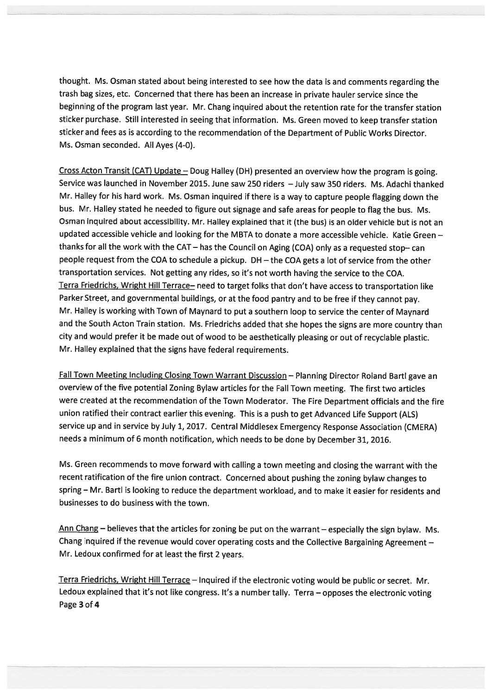thought. Ms. Osman stated about being interested to see how the data is and comments regarding the trash bag sizes, etc. Concerned that there has been an increase in private hauler service since the beginning of the program last year. Mr. Chang inquired about the retention rate for the transfer station sticker purchase. Still interested in seeing that information. Ms. Green moved to keep transfer station sticker and fees as is according to the recommendation of the Department of Public Works Director. Ms. Osman seconded. All Ayes (4-0).

Cross Acton Transit (CAT) Update — Doug Halley (DH) presented an overview how the program is going. Service was launched in November 2015. June saw <sup>250</sup> riders —July saw <sup>350</sup> riders. Ms. Adachi thanked Mr. Halley for his hard work. Ms. Osman inquired if there is <sup>a</sup> way to capture people flagging down the bus. Mr. Halley stated he needed to figure out signage and safe areas for people to flag the bus. Ms. Osman inquired about accessibility. Mr. Halley explained that it (the bus) is an older vehicle but is not an updated accessible vehicle and looking for the MBTA to donate <sup>a</sup> more accessible vehicle. Katie Green thanks for all the work with the CAT – has the Council on Aging (COA) only as a requested stop-can people reques<sup>t</sup> from the COA to schedule <sup>a</sup> <sup>p</sup>ickup. DH — the COA gets <sup>a</sup> lot of service from the other transportation services. Not getting any rides, so it's not worth having the service to the COA. Terra Friedrichs, Wright Hill Terrace— need to target folks that don't have access to transportation like Parker Street, and governmental buildings, or at the food pantry and to be free if they cannot pay. Mr. Halley is working with Town of Maynard to pu<sup>t</sup> <sup>a</sup> southern loop to service the center of Maynard and the South Acton Train station. Ms. Friedrichs added that she hopes the signs are more country than city and would prefer it be made out of wood to be aesthetically <sup>p</sup>leasing or out of recyclable <sup>p</sup>lastic. Mr. Halley explained that the signs have federal requirements.

Fall Town Meeting Including Closing Town Warrant Discussion — Planning Director Roland Bartl gave an overview of the five potential Zoning Bylaw articles for the Fall Town meeting. The first two articles were created at the recommendation of the Town Moderator. The Fire Department officials and the fire union ratified their contract earlier this evening. This is <sup>a</sup> pus<sup>h</sup> to ge<sup>t</sup> Advanced Life Support (ALS) service up and in service by July 1,2017. Central Middlesex Emergency Response Association (CMERA) needs <sup>a</sup> minimum of <sup>6</sup> month notification, which needs to be done by December 31, 2016.

Ms. Green recommends to move forward with calling <sup>a</sup> town meeting and closing the warrant with the recent ratification of the fire union contract. Concerned about pushing the zoning bylaw changes to spring — Mr. Bartl is looking to reduce the department workload, and to make it easier for residents and businesses to do business with the town.

Ann Chang — believes that the articles for zoning be pu<sup>t</sup> on the warrant — especially the sign bylaw. Ms. Chang inquired if the revenue would cover operating costs and the Collective Bargaining Agreement — Mr. Ledoux confirmed for at least the first <sup>2</sup> years.

Terra Friedrichs, Wright Hill Terrace — Inquired if the electronic voting would be public or secret. Mr. Ledoux explained that it's not like congress. It's <sup>a</sup> number tally. Terra — opposes the electronic voting Page 3 of 4